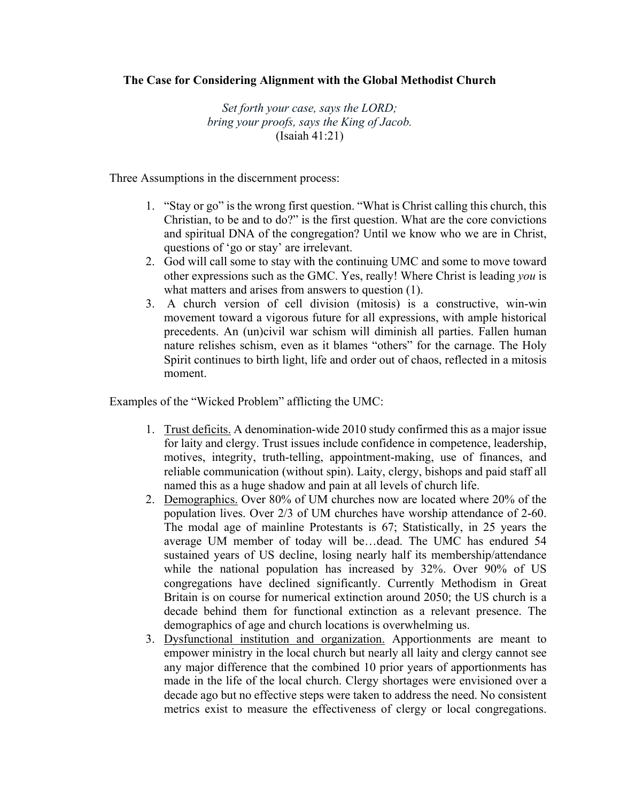## **The Case for Considering Alignment with the Global Methodist Church**

*Set forth your case, says the LORD; bring your proofs, says the King of Jacob.* (Isaiah 41:21)

Three Assumptions in the discernment process:

- 1. "Stay or go" is the wrong first question. "What is Christ calling this church, this Christian, to be and to do?" is the first question. What are the core convictions and spiritual DNA of the congregation? Until we know who we are in Christ, questions of 'go or stay' are irrelevant.
- 2. God will call some to stay with the continuing UMC and some to move toward other expressions such as the GMC. Yes, really! Where Christ is leading *you* is what matters and arises from answers to question (1).
- 3. A church version of cell division (mitosis) is a constructive, win-win movement toward a vigorous future for all expressions, with ample historical precedents. An (un)civil war schism will diminish all parties. Fallen human nature relishes schism, even as it blames "others" for the carnage. The Holy Spirit continues to birth light, life and order out of chaos, reflected in a mitosis moment.

Examples of the "Wicked Problem" afflicting the UMC:

- 1. Trust deficits. A denomination-wide 2010 study confirmed this as a major issue for laity and clergy. Trust issues include confidence in competence, leadership, motives, integrity, truth-telling, appointment-making, use of finances, and reliable communication (without spin). Laity, clergy, bishops and paid staff all named this as a huge shadow and pain at all levels of church life.
- 2. Demographics. Over 80% of UM churches now are located where 20% of the population lives. Over 2/3 of UM churches have worship attendance of 2-60. The modal age of mainline Protestants is 67; Statistically, in 25 years the average UM member of today will be…dead. The UMC has endured 54 sustained years of US decline, losing nearly half its membership/attendance while the national population has increased by 32%. Over 90% of US congregations have declined significantly. Currently Methodism in Great Britain is on course for numerical extinction around 2050; the US church is a decade behind them for functional extinction as a relevant presence. The demographics of age and church locations is overwhelming us.
- 3. Dysfunctional institution and organization. Apportionments are meant to empower ministry in the local church but nearly all laity and clergy cannot see any major difference that the combined 10 prior years of apportionments has made in the life of the local church. Clergy shortages were envisioned over a decade ago but no effective steps were taken to address the need. No consistent metrics exist to measure the effectiveness of clergy or local congregations.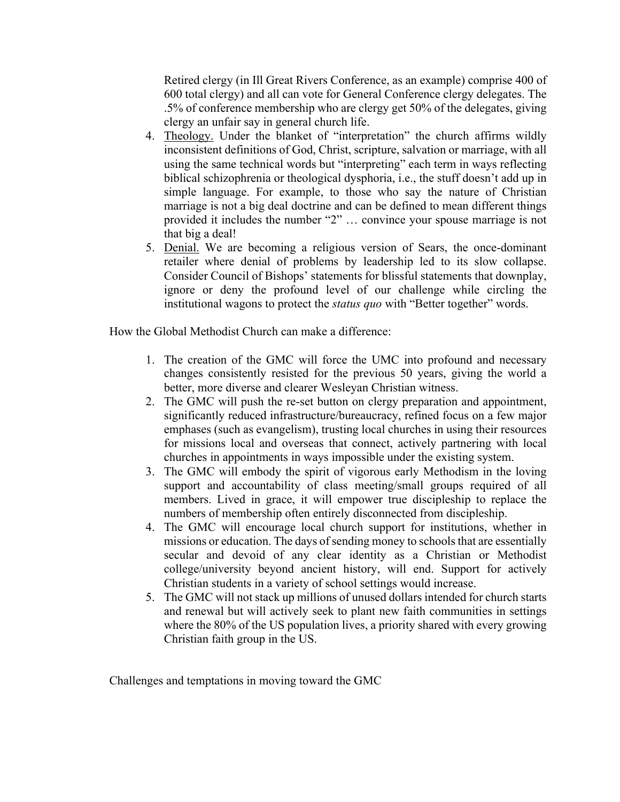Retired clergy (in Ill Great Rivers Conference, as an example) comprise 400 of 600 total clergy) and all can vote for General Conference clergy delegates. The .5% of conference membership who are clergy get 50% of the delegates, giving clergy an unfair say in general church life.

- 4. Theology. Under the blanket of "interpretation" the church affirms wildly inconsistent definitions of God, Christ, scripture, salvation or marriage, with all using the same technical words but "interpreting" each term in ways reflecting biblical schizophrenia or theological dysphoria, i.e., the stuff doesn't add up in simple language. For example, to those who say the nature of Christian marriage is not a big deal doctrine and can be defined to mean different things provided it includes the number "2" … convince your spouse marriage is not that big a deal!
- 5. Denial. We are becoming a religious version of Sears, the once-dominant retailer where denial of problems by leadership led to its slow collapse. Consider Council of Bishops' statements for blissful statements that downplay, ignore or deny the profound level of our challenge while circling the institutional wagons to protect the *status quo* with "Better together" words.

How the Global Methodist Church can make a difference:

- 1. The creation of the GMC will force the UMC into profound and necessary changes consistently resisted for the previous 50 years, giving the world a better, more diverse and clearer Wesleyan Christian witness.
- 2. The GMC will push the re-set button on clergy preparation and appointment, significantly reduced infrastructure/bureaucracy, refined focus on a few major emphases (such as evangelism), trusting local churches in using their resources for missions local and overseas that connect, actively partnering with local churches in appointments in ways impossible under the existing system.
- 3. The GMC will embody the spirit of vigorous early Methodism in the loving support and accountability of class meeting/small groups required of all members. Lived in grace, it will empower true discipleship to replace the numbers of membership often entirely disconnected from discipleship.
- 4. The GMC will encourage local church support for institutions, whether in missions or education. The days of sending money to schools that are essentially secular and devoid of any clear identity as a Christian or Methodist college/university beyond ancient history, will end. Support for actively Christian students in a variety of school settings would increase.
- 5. The GMC will not stack up millions of unused dollars intended for church starts and renewal but will actively seek to plant new faith communities in settings where the 80% of the US population lives, a priority shared with every growing Christian faith group in the US.

Challenges and temptations in moving toward the GMC